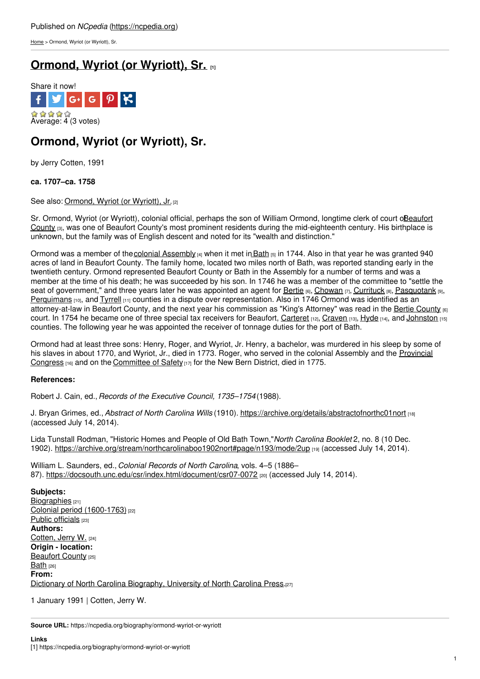[Home](https://ncpedia.org/) > Ormond, Wyriot (or Wyriott), Sr.

## **[Ormond,](https://ncpedia.org/biography/ormond-wyriot-or-wyriott) Wyriot (or Wyriott), Sr. [1]**



## **Ormond, Wyriot (or Wyriott), Sr.**

by Jerry Cotten, 1991

## **ca. 1707–ca. 1758**

See also: [Ormond,](https://ncpedia.org/biography/ormond-wyriot-or-wyriot-0) Wyriot (or Wyriott), Jr. [2]

Sr. Ormond, Wyriot (or Wyriott), colonial official, [perhaps](http://www.social9.com) the son of William Ormond, longtime clerk of court oBeaufort County [3], was one of Beaufort County's most prominent residents during the [mid-eighteenth](https://ncpedia.org/geography/beaufort) century. His birthplace is unknown, but the family was of English descent and noted for its "wealth and distinction."

Ormond was a member of the colonial [Assembly](https://ncpedia.org/general-assembly)  $\mu_1$  when it met in Bath  $\mu_1$  in 1744. Also in that year he was granted 940 acres of land in Beaufort County. The family home, located two miles north of Bath, was reported standing early in the twentieth century. Ormond represented Beaufort County or Bath in the Assembly for a number of terms and was a member at the time of his death; he was succeeded by his son. In 1746 he was a member of the committee to "settle the seat of government," and three years later he was appointed an agent for [Bertie](https://ncpedia.org/geography/bertie) [6], [Chowan](https://ncpedia.org/geography/chowan) [7], [Currituck](https://ncpedia.org/geography/currituck) [8], [Pasquotank](https://ncpedia.org/geography/pasquotank) [9], [Perquimans](https://ncpedia.org/geography/perquimans) [10], and [Tyrrell](https://ncpedia.org/geography/tyrrell) [11] counties in a dispute over representation. Also in 1746 Ormond was identified as an attorney-at-law in Beaufort [County](https://ncpedia.org/geography/bertie), and the next year his commission as "King's Attorney" was read in the Bertie County [6] court. In 1754 he became one of three special tax receivers for Beaufort, [Carteret](https://ncpedia.org/geography/carteret) [12], [Craven](https://ncpedia.org/geography/craven) [13], [Hyde](https://ncpedia.org/geography/hyde) [14], and [Johnston](https://ncpedia.org/geography/johnston) [15] counties. The following year he was appointed the receiver of tonnage duties for the port of Bath.

Ormond had at least three sons: Henry, Roger, and Wyriot, Jr. Henry, a bachelor, was murdered in his sleep by some of his slaves in about 1770, and Wyriot, Jr., died in 1773. Roger, who served in the colonial [Assembly](https://ncpedia.org/provincial-congresses) and the Provincial Congress [16] and on the [Committee](https://ncpedia.org/committees-safety) of Safety [17] for the New Bern District, died in 1775.

## **References:**

Robert J. Cain, ed., *Records of the Executive Council, 1735–1754*(1988).

J. Bryan Grimes, ed., *Abstract of North Carolina Wills* (1910). <https://archive.org/details/abstractofnorthc01nort> [18] (accessed July 14, 2014).

Lida Tunstall Rodman, "Historic Homes and People of Old Bath Town,"*North Carolina Booklet* 2, no. 8 (10 Dec. 1902). <https://archive.org/stream/northcarolinaboo1902nort#page/n193/mode/2up> [19] (accessed July 14, 2014).

William L. Saunders, ed., *Colonial Records of North Carolina*, vols. 4–5 (1886– 87). <https://docsouth.unc.edu/csr/index.html/document/csr07-0072> [20] (accessed July 14, 2014).

**Subjects:** [Biographies](https://ncpedia.org/category/subjects/biography-term) [21] Colonial period [\(1600-1763\)](https://ncpedia.org/category/subjects/colonial-period) [22] Public [officials](https://ncpedia.org/category/subjects/public-officials) [23] **Authors:** [Cotten,](https://ncpedia.org/category/authors/cotten-jerry-w) Jerry W. [24] **Origin - location:** [Beaufort](https://ncpedia.org/category/origin-location/coastal-22) County [25] [Bath](https://ncpedia.org/category/origin-location/coastal-46) [26] **From:** Dictionary of North Carolina [Biography,](https://ncpedia.org/category/entry-source/dictionary-no) University of North Carolina Press.[27]

1 January 1991 | Cotten, Jerry W.

**Source URL:** https://ncpedia.org/biography/ormond-wyriot-or-wyriott